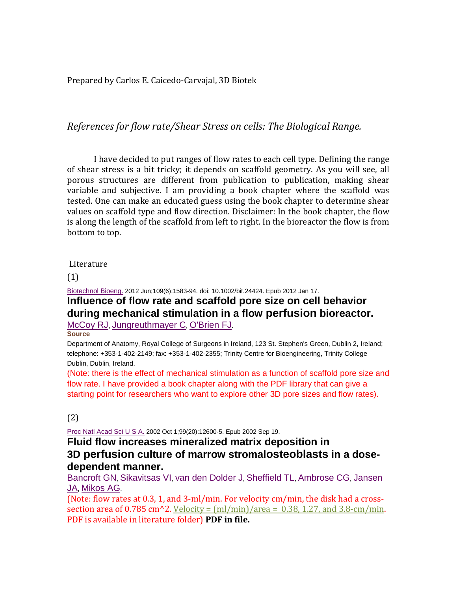Prepared by Carlos E. Caicedo-Carvajal, 3D Biotek

*References for flow rate/Shear Stress on cells: The Biological Range.* 

I have decided to put ranges of flow rates to each cell type. Defining the range of shear stress is a bit tricky; it depends on scaffold geometry. As you will see, all porous structures are different from publication to publication, making shear variable and subjective. I am providing a book chapter where the scaffold was tested. One can make an educated guess using the book chapter to determine shear values on scaffold type and flow direction. Disclaimer: In the book chapter, the flow is along the length of the scaffold from left to right. In the bioreactor the flow is from bottom to top.

### Literature

(1)

## [Biotechnol](http://www.ncbi.nlm.nih.gov/pubmed/22249971) Bioeng. 2012 Jun;109(6):1583-94. doi: 10.1002/bit.24424. Epub 2012 Jan 17. **Influence of flow rate and scaffold pore size on cell behavior during mechanical stimulation in a flow perfusion bioreactor.**

[McCoy](http://www.ncbi.nlm.nih.gov/pubmed?term=McCoy%20RJ%5BAuthor%5D&cauthor=true&cauthor_uid=22249971) RJ, [Jungreuthmayer](http://www.ncbi.nlm.nih.gov/pubmed?term=Jungreuthmayer%20C%5BAuthor%5D&cauthor=true&cauthor_uid=22249971) C, [O'Brien](http://www.ncbi.nlm.nih.gov/pubmed?term=O) FJ.

**Source**

Department of Anatomy, Royal College of Surgeons in Ireland, 123 St. Stephen's Green, Dublin 2, Ireland; telephone: +353-1-402-2149; fax: +353-1-402-2355; Trinity Centre for Bioengineering, Trinity College Dublin, Dublin, Ireland.

(Note: there is the effect of mechanical stimulation as a function of scaffold pore size and flow rate. I have provided a book chapter along with the PDF library that can give a starting point for researchers who want to explore other 3D pore sizes and flow rates).

### (2)

Proc Natl [Acad](http://www.ncbi.nlm.nih.gov/pubmed/12242339) Sci U S A. 2002 Oct 1;99(20):12600-5. Epub 2002 Sep 19.

### **Fluid flow increases mineralized matrix deposition in 3D perfusion culture of marrow stromalosteoblasts in a dosedependent manner.**

[Bancroft](http://www.ncbi.nlm.nih.gov/pubmed?term=Bancroft%20GN%5BAuthor%5D&cauthor=true&cauthor_uid=12242339) GN, [Sikavitsas](http://www.ncbi.nlm.nih.gov/pubmed?term=Sikavitsas%20VI%5BAuthor%5D&cauthor=true&cauthor_uid=12242339) VI, van den [Dolder](http://www.ncbi.nlm.nih.gov/pubmed?term=van%20den%20Dolder%20J%5BAuthor%5D&cauthor=true&cauthor_uid=12242339) J, [Sheffield](http://www.ncbi.nlm.nih.gov/pubmed?term=Sheffield%20TL%5BAuthor%5D&cauthor=true&cauthor_uid=12242339) TL, [Ambrose](http://www.ncbi.nlm.nih.gov/pubmed?term=Ambrose%20CG%5BAuthor%5D&cauthor=true&cauthor_uid=12242339) CG, [Jansen](http://www.ncbi.nlm.nih.gov/pubmed?term=Jansen%20JA%5BAuthor%5D&cauthor=true&cauthor_uid=12242339) [JA,](http://www.ncbi.nlm.nih.gov/pubmed?term=Jansen%20JA%5BAuthor%5D&cauthor=true&cauthor_uid=12242339) [Mikos](http://www.ncbi.nlm.nih.gov/pubmed?term=Mikos%20AG%5BAuthor%5D&cauthor=true&cauthor_uid=12242339) AG.

(Note: flow rates at 0.3, 1, and 3-ml/min. For velocity cm/min, the disk had a crosssection area of  $0.785$  cm<sup> $\lambda$ </sup>2. Velocity = (ml/min)/area = 0.38, 1.27, and 3.8-cm/min. PDF is available in literature folder) **PDF in file.**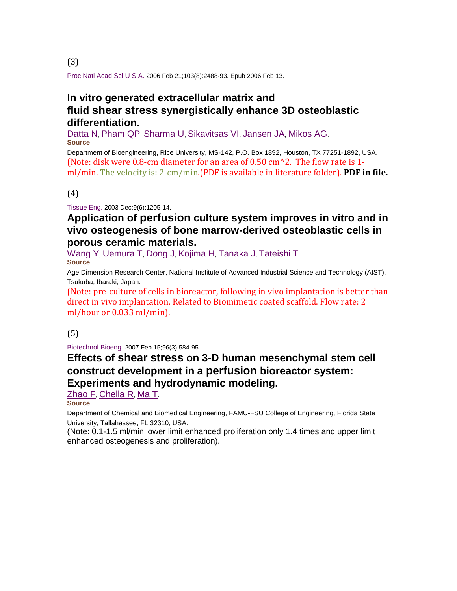Proc Natl [Acad](http://www.ncbi.nlm.nih.gov/pubmed/16477044) Sci U S A. 2006 Feb 21;103(8):2488-93. Epub 2006 Feb 13.

## **In vitro generated extracellular matrix and fluid shear stress synergistically enhance 3D osteoblastic differentiation.**

[Datta](http://www.ncbi.nlm.nih.gov/pubmed?term=Datta%20N%5BAuthor%5D&cauthor=true&cauthor_uid=16477044) N, [Pham](http://www.ncbi.nlm.nih.gov/pubmed?term=Pham%20QP%5BAuthor%5D&cauthor=true&cauthor_uid=16477044) QP, [Sharma](http://www.ncbi.nlm.nih.gov/pubmed?term=Sharma%20U%5BAuthor%5D&cauthor=true&cauthor_uid=16477044) U, [Sikavitsas](http://www.ncbi.nlm.nih.gov/pubmed?term=Sikavitsas%20VI%5BAuthor%5D&cauthor=true&cauthor_uid=16477044) VI, [Jansen](http://www.ncbi.nlm.nih.gov/pubmed?term=Jansen%20JA%5BAuthor%5D&cauthor=true&cauthor_uid=16477044) JA, [Mikos](http://www.ncbi.nlm.nih.gov/pubmed?term=Mikos%20AG%5BAuthor%5D&cauthor=true&cauthor_uid=16477044) AG. **Source**

Department of Bioengineering, Rice University, MS-142, P.O. Box 1892, Houston, TX 77251-1892, USA. (Note: disk were 0.8-cm diameter for an area of 0.50 cm^2. The flow rate is 1 ml/min. The velocity is: 2-cm/min.(PDF is available in literature folder). **PDF in file.**

(4)

[Tissue](http://www.ncbi.nlm.nih.gov/pubmed/14670108) Eng. 2003 Dec;9(6):1205-14.

### **Application of perfusion culture system improves in vitro and in vivo osteogenesis of bone marrow-derived osteoblastic cells in porous ceramic materials.**

[Wang](http://www.ncbi.nlm.nih.gov/pubmed?term=Wang%20Y%5BAuthor%5D&cauthor=true&cauthor_uid=14670108) Y, [Uemura](http://www.ncbi.nlm.nih.gov/pubmed?term=Uemura%20T%5BAuthor%5D&cauthor=true&cauthor_uid=14670108) T, [Dong](http://www.ncbi.nlm.nih.gov/pubmed?term=Dong%20J%5BAuthor%5D&cauthor=true&cauthor_uid=14670108) J, [Kojima](http://www.ncbi.nlm.nih.gov/pubmed?term=Kojima%20H%5BAuthor%5D&cauthor=true&cauthor_uid=14670108) H, [Tanaka](http://www.ncbi.nlm.nih.gov/pubmed?term=Tanaka%20J%5BAuthor%5D&cauthor=true&cauthor_uid=14670108) J, [Tateishi](http://www.ncbi.nlm.nih.gov/pubmed?term=Tateishi%20T%5BAuthor%5D&cauthor=true&cauthor_uid=14670108) T. **Source**

Age Dimension Research Center, National Institute of Advanced Industrial Science and Technology (AIST), Tsukuba, Ibaraki, Japan.

(Note: pre-culture of cells in bioreactor, following in vivo implantation is better than direct in vivo implantation. Related to Biomimetic coated scaffold. Flow rate: 2 ml/hour or 0.033 ml/min).

### (5)

[Biotechnol](http://www.ncbi.nlm.nih.gov/pubmed/16948169) Bioeng. 2007 Feb 15;96(3):584-95.

### **Effects of shear stress on 3-D human mesenchymal stem cell construct development in a perfusion bioreactor system: Experiments and hydrodynamic modeling.**

[Zhao](http://www.ncbi.nlm.nih.gov/pubmed?term=Zhao%20F%5BAuthor%5D&cauthor=true&cauthor_uid=16948169) F, [Chella](http://www.ncbi.nlm.nih.gov/pubmed?term=Chella%20R%5BAuthor%5D&cauthor=true&cauthor_uid=16948169) R, [Ma](http://www.ncbi.nlm.nih.gov/pubmed?term=Ma%20T%5BAuthor%5D&cauthor=true&cauthor_uid=16948169) T.

**Source**

Department of Chemical and Biomedical Engineering, FAMU-FSU College of Engineering, Florida State University, Tallahassee, FL 32310, USA.

(Note: 0.1-1.5 ml/min lower limit enhanced proliferation only 1.4 times and upper limit enhanced osteogenesis and proliferation).

(3)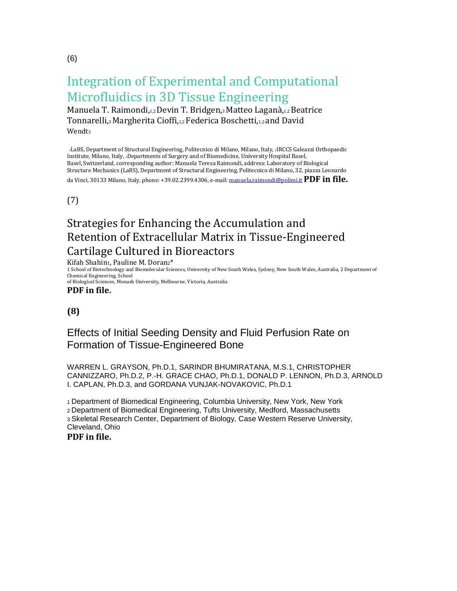# Integration of Experimental and Computational Microfluidics in 3D Tissue Engineering

Manuela T. Raimondi,1,2 Devin T. Bridgen,3 Matteo Laganà,1,2 Beatrice Tonnarelli,3 Margherita Cioffi,1,2 Federica Boschetti,1,2 and David Wendt<sub>3</sub>

1LaBS, Department of Structural Engineering, Politecnico di Milano, Milano, Italy, 2IRCCS Galeazzi Orthopaedic Institute, Milano, Italy, 3Departments of Surgery and of Biomedicine, University Hospital Basel, Basel, Switzerland, corresponding author: Manuela Teresa Raimondi, address: Laboratory of Biological Structure Mechanics (LaBS), Department of Structural Engineering, Politecnico di Milano, 32, piazza Leonardo da Vinci, 30133 Milano, Italy, phone: +39.02.2399.4306, e-mail[: manuela.raimondi@polimi.it](mailto:manuela.raimondi@polimi.it) **PDF in file.**

(7)

## Strategies for Enhancing the Accumulation and Retention of Extracellular Matrix in Tissue-Engineered Cartilage Cultured in Bioreactors

Kifah Shahin1, Pauline M. Doran2\*

1 School of Biotechnology and Biomolecular Sciences, University of New South Wales, Sydney, New South Wales, Australia, 2 Department of Chemical Engineering, School

of Biological Sciences, Monash University, Melbourne, Victoria, Australia **PDF in file.**

### **(8)**

### Effects of Initial Seeding Density and Fluid Perfusion Rate on Formation of Tissue-Engineered Bone

WARREN L. GRAYSON, Ph.D.1, SARINDR BHUMIRATANA, M.S.1, CHRISTOPHER CANNIZZARO, Ph.D.2, P.-H. GRACE CHAO, Ph.D.1, DONALD P. LENNON, Ph.D.3, ARNOLD I. CAPLAN, Ph.D.3, and GORDANA VUNJAK-NOVAKOVIC, Ph.D.1

1 Department of Biomedical Engineering, Columbia University, New York, New York 2 Department of Biomedical Engineering, Tufts University, Medford, Massachusetts 3 Skeletal Research Center, Department of Biology, Case Western Reserve University, Cleveland, Ohio **PDF in file.**

(6)